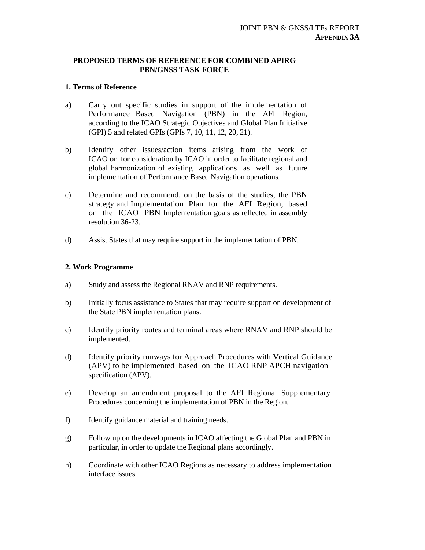## **PROPOSED TERMS OF REFERENCE FOR COMBINED APIRG PBN/GNSS TASK FORCE**

## **1. Terms of Reference**

- a) Carry out specific studies in support of the implementation of Performance Based Navigation (PBN) in the AFI Region, according to the ICAO Strategic Objectives and Global Plan Initiative (GPI) 5 and related GPIs (GPIs 7, 10, 11, 12, 20, 21).
- b) Identify other issues/action items arising from the work of ICAO or for consideration by ICAO in order to facilitate regional and global harmonization of existing applications as well as future implementation of Performance Based Navigation operations.
- c) Determine and recommend, on the basis of the studies, the PBN strategy and Implementation Plan for the AFI Region, based on the ICAO PBN Implementation goals as reflected in assembly resolution 36-23.
- d) Assist States that may require support in the implementation of PBN.

## **2. Work Programme**

- a) Study and assess the Regional RNAV and RNP requirements.
- b) Initially focus assistance to States that may require support on development of the State PBN implementation plans.
- c) Identify priority routes and terminal areas where RNAV and RNP should be implemented.
- d) Identify priority runways for Approach Procedures with Vertical Guidance (APV) to be implemented based on the ICAO RNP APCH navigation specification (APV).
- e) Develop an amendment proposal to the AFI Regional Supplementary Procedures concerning the implementation of PBN in the Region.
- f) Identify guidance material and training needs.
- g) Follow up on the developments in ICAO affecting the Global Plan and PBN in particular, in order to update the Regional plans accordingly.
- h) Coordinate with other ICAO Regions as necessary to address implementation interface issues.